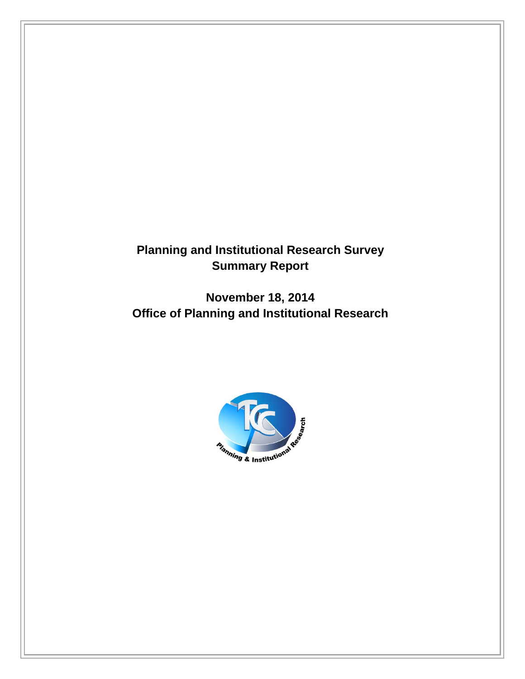## **Planning and Institutional Research Survey Summary Report**

**November 18, 2014 Office of Planning and Institutional Research** 

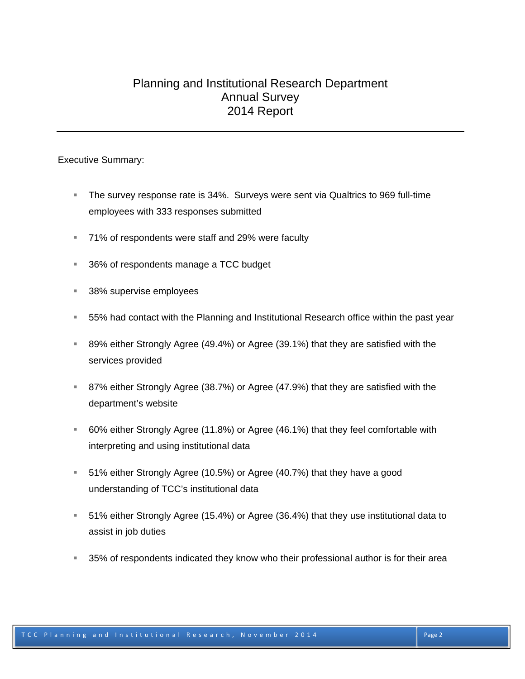#### Planning and Institutional Research Department Annual Survey 2014 Report

Executive Summary:

- The survey response rate is 34%. Surveys were sent via Qualtrics to 969 full-time employees with 333 responses submitted
- 71% of respondents were staff and 29% were faculty
- 36% of respondents manage a TCC budget
- 38% supervise employees
- 55% had contact with the Planning and Institutional Research office within the past year
- 89% either Strongly Agree (49.4%) or Agree (39.1%) that they are satisfied with the services provided
- 87% either Strongly Agree (38.7%) or Agree (47.9%) that they are satisfied with the department's website
- 60% either Strongly Agree (11.8%) or Agree (46.1%) that they feel comfortable with interpreting and using institutional data
- 51% either Strongly Agree (10.5%) or Agree (40.7%) that they have a good understanding of TCC's institutional data
- 51% either Strongly Agree (15.4%) or Agree (36.4%) that they use institutional data to assist in job duties
- 35% of respondents indicated they know who their professional author is for their area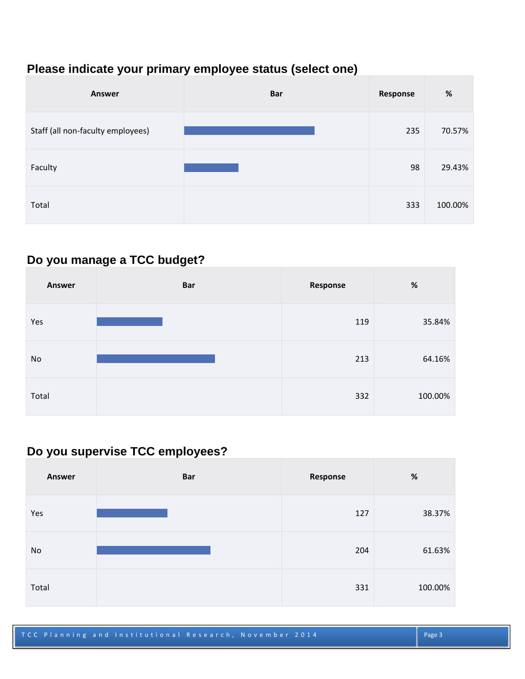## **Please indicate your primary employee status (select one)**

| <b>Answer</b>                     | <b>Bar</b> | Response | $\%$    |
|-----------------------------------|------------|----------|---------|
| Staff (all non-faculty employees) |            | 235      | 70.57%  |
| Faculty                           |            | 98       | 29.43%  |
| Total                             |            | 333      | 100.00% |

#### **Do you manage a TCC budget?**

| <b>Answer</b> | <b>Bar</b> | Response | $\%$    |
|---------------|------------|----------|---------|
| Yes           |            | 119      | 35.84%  |
| No            |            | 213      | 64.16%  |
| Total         |            | 332      | 100.00% |

## **Do you supervise TCC employees?**

| <b>Answer</b> | <b>Bar</b> | Response | $\%$    |
|---------------|------------|----------|---------|
| Yes           |            | 127      | 38.37%  |
| No            |            | 204      | 61.63%  |
| Total         |            | 331      | 100.00% |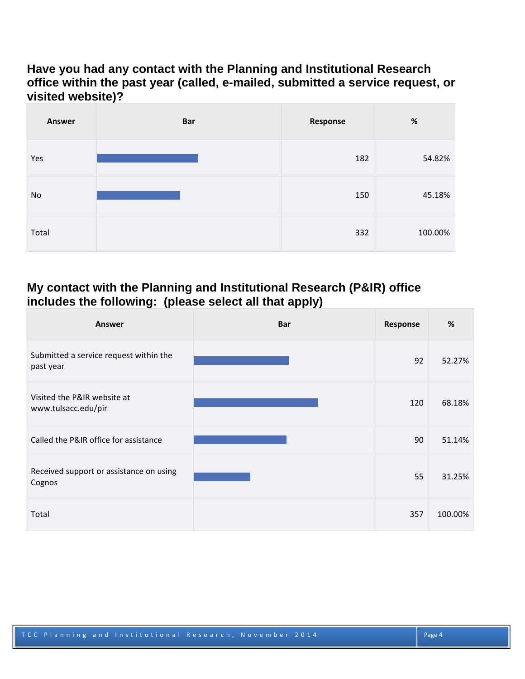#### **Have you had any contact with the Planning and Institutional Research office within the past year (called, e-mailed, submitted a service request, or visited website)?**

| Answer | <b>Bar</b> | Response | $\%$    |
|--------|------------|----------|---------|
| Yes    |            | 182      | 54.82%  |
| No     |            | 150      | 45.18%  |
| Total  |            | 332      | 100.00% |

#### **My contact with the Planning and Institutional Research (P&IR) office includes the following: (please select all that apply)**

| Answer                                              | <b>Bar</b> | Response | %       |
|-----------------------------------------------------|------------|----------|---------|
| Submitted a service request within the<br>past year |            | 92       | 52.27%  |
| Visited the P&IR website at<br>www.tulsacc.edu/pir  |            | 120      | 68.18%  |
| Called the P&IR office for assistance               |            | 90       | 51.14%  |
| Received support or assistance on using<br>Cognos   |            | 55       | 31.25%  |
| Total                                               |            | 357      | 100.00% |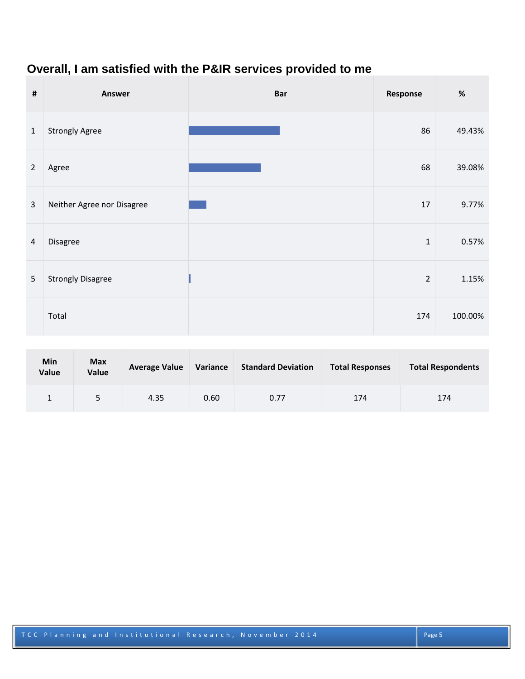## **Overall, I am satisfied with the P&IR services provided to me**

| $\pmb{\sharp}$ | Answer                     | <b>Bar</b> | Response       | $\%$    |
|----------------|----------------------------|------------|----------------|---------|
| $\mathbf{1}$   | <b>Strongly Agree</b>      |            | 86             | 49.43%  |
| $\overline{2}$ | Agree                      |            | 68             | 39.08%  |
| $\mathbf{3}$   | Neither Agree nor Disagree |            | 17             | 9.77%   |
| 4              | Disagree                   |            | $1\,$          | 0.57%   |
| 5              | <b>Strongly Disagree</b>   |            | $\overline{2}$ | 1.15%   |
|                | Total                      |            | 174            | 100.00% |

| Min<br>Value | <b>Max</b><br>Value | <b>Average Value</b> | Variance | <b>Standard Deviation</b> | <b>Total Responses</b> | <b>Total Respondents</b> |
|--------------|---------------------|----------------------|----------|---------------------------|------------------------|--------------------------|
|              |                     | 4.35                 | 0.60     | 0.77                      | 174                    | 174                      |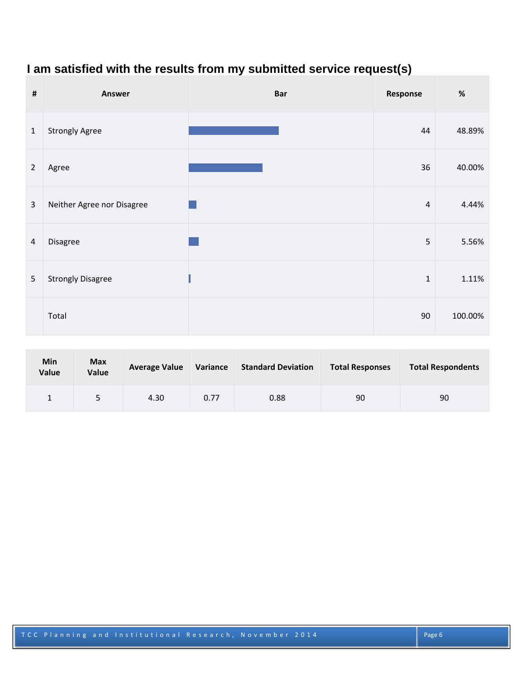## **I am satisfied with the results from my submitted service request(s)**

| $\pmb{\sharp}$ | Answer                     | <b>Bar</b> | Response       | $\%$    |
|----------------|----------------------------|------------|----------------|---------|
| $\mathbf{1}$   | <b>Strongly Agree</b>      |            | 44             | 48.89%  |
| $\overline{2}$ | Agree                      |            | 36             | 40.00%  |
| $\overline{3}$ | Neither Agree nor Disagree |            | $\overline{4}$ | 4.44%   |
| 4              | Disagree                   |            | 5              | 5.56%   |
| 5              | <b>Strongly Disagree</b>   |            | $\mathbf{1}$   | 1.11%   |
|                | Total                      |            | 90             | 100.00% |

| <b>Min</b><br>Value | <b>Max</b><br>Value | <b>Average Value</b> | Variance | <b>Standard Deviation</b> | <b>Total Responses</b> | <b>Total Respondents</b> |
|---------------------|---------------------|----------------------|----------|---------------------------|------------------------|--------------------------|
|                     |                     | 4.30                 | 0.77     | 0.88                      | 90                     | 90                       |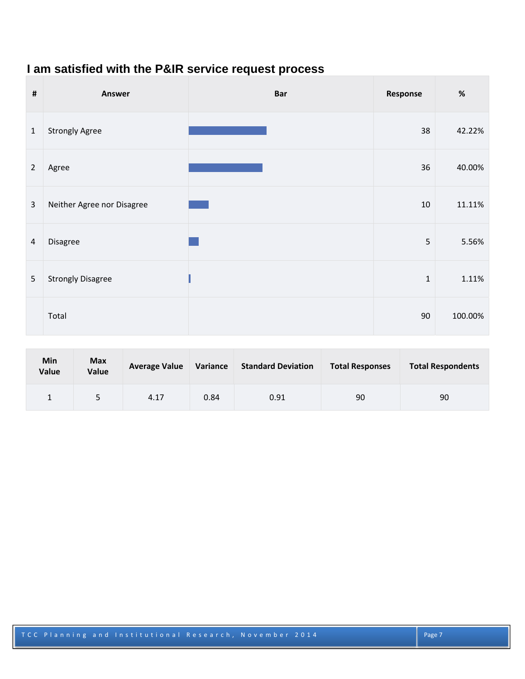## **I am satisfied with the P&IR service request process**

| $\pmb{\sharp}$ | Answer                     | <b>Bar</b> | Response | $\%$    |
|----------------|----------------------------|------------|----------|---------|
| $\mathbf{1}$   | <b>Strongly Agree</b>      |            | 38       | 42.22%  |
| $\overline{2}$ | Agree                      |            | 36       | 40.00%  |
| $\overline{3}$ | Neither Agree nor Disagree |            | 10       | 11.11%  |
| $\overline{a}$ | Disagree                   |            | 5        | 5.56%   |
| 5              | <b>Strongly Disagree</b>   |            | $1\,$    | 1.11%   |
|                | Total                      |            | 90       | 100.00% |

| <b>Min</b><br>Value | <b>Max</b><br>Value | <b>Average Value</b> | Variance | <b>Standard Deviation</b> | <b>Total Responses</b> | <b>Total Respondents</b> |
|---------------------|---------------------|----------------------|----------|---------------------------|------------------------|--------------------------|
|                     | 5                   | 4.17                 | 0.84     | 0.91                      | 90                     | 90                       |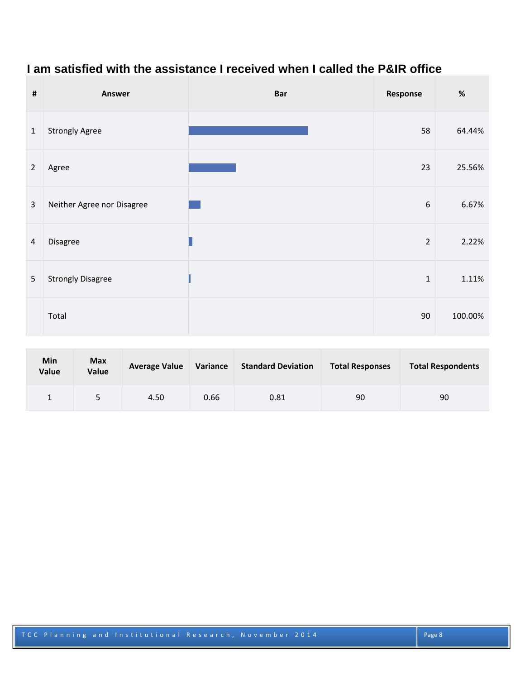# **I am satisfied with the assistance I received when I called the P&IR office**

| $\pmb{\#}$     | Answer                     | <b>Bar</b> | Response       | $\%$    |
|----------------|----------------------------|------------|----------------|---------|
| $\mathbf{1}$   | <b>Strongly Agree</b>      |            | 58             | 64.44%  |
| $\overline{2}$ | Agree                      |            | 23             | 25.56%  |
| $\overline{3}$ | Neither Agree nor Disagree |            | 6              | 6.67%   |
| $\overline{a}$ | Disagree                   |            | $\overline{2}$ | 2.22%   |
| 5              | <b>Strongly Disagree</b>   |            | $\mathbf 1$    | 1.11%   |
|                | Total                      |            | 90             | 100.00% |

| Min<br>Value | <b>Max</b><br><b>Value</b> | <b>Average Value</b> | Variance | <b>Standard Deviation</b> | <b>Total Responses</b> | <b>Total Respondents</b> |
|--------------|----------------------------|----------------------|----------|---------------------------|------------------------|--------------------------|
|              |                            | 4.50                 | 0.66     | 0.81                      | 90                     | 90                       |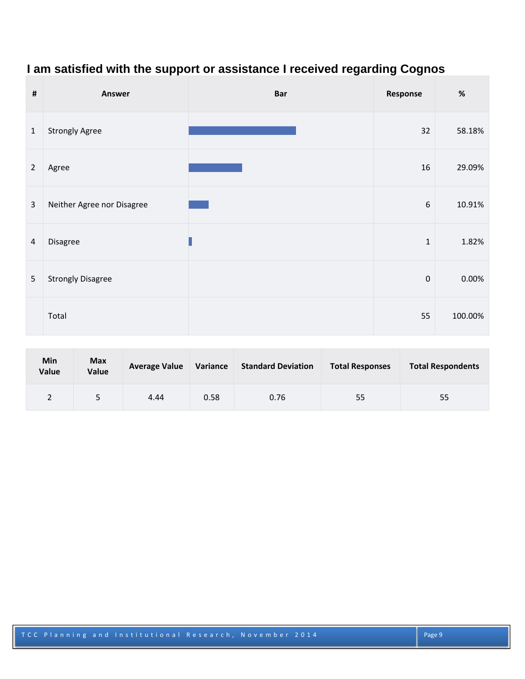## **I am satisfied with the support or assistance I received regarding Cognos**

| $\pmb{\sharp}$ | <b>Answer</b>              | <b>Bar</b> | Response         | $\%$    |
|----------------|----------------------------|------------|------------------|---------|
| $\mathbf{1}$   | <b>Strongly Agree</b>      |            | 32               | 58.18%  |
| $\overline{2}$ | Agree                      |            | 16               | 29.09%  |
| $\overline{3}$ | Neither Agree nor Disagree |            | $\boldsymbol{6}$ | 10.91%  |
| $\overline{a}$ | Disagree                   |            | $\mathbf 1$      | 1.82%   |
| 5              | <b>Strongly Disagree</b>   |            | $\pmb{0}$        | 0.00%   |
|                | Total                      |            | 55               | 100.00% |

| <b>Min</b><br>Value | <b>Max</b><br>Value | <b>Average Value</b> | Variance | <b>Standard Deviation</b> | <b>Total Responses</b> | <b>Total Respondents</b> |
|---------------------|---------------------|----------------------|----------|---------------------------|------------------------|--------------------------|
|                     |                     | 4.44                 | 0.58     | 0.76                      | 55                     | 55                       |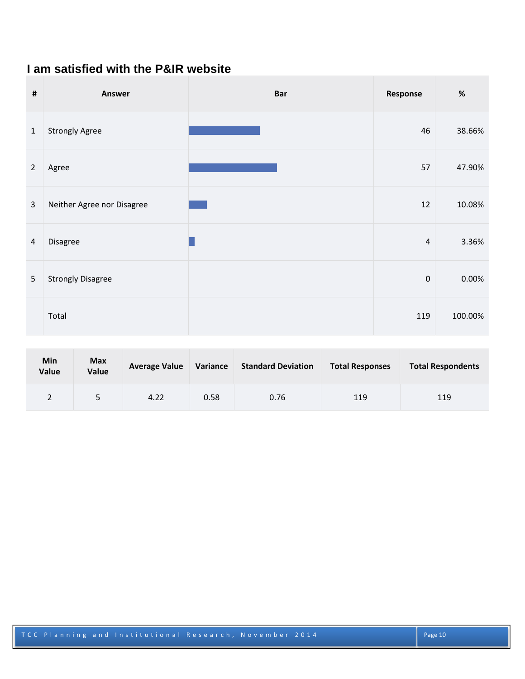#### **I am satisfied with the P&IR website**

| $\pmb{\sharp}$ | Answer                     | <b>Bar</b> | Response         | $\%$    |
|----------------|----------------------------|------------|------------------|---------|
| $\mathbf{1}$   | <b>Strongly Agree</b>      |            | 46               | 38.66%  |
| $\overline{2}$ | Agree                      |            | 57               | 47.90%  |
| $\overline{3}$ | Neither Agree nor Disagree |            | 12               | 10.08%  |
| 4              | Disagree                   |            | $\overline{4}$   | 3.36%   |
| 5              | <b>Strongly Disagree</b>   |            | $\boldsymbol{0}$ | 0.00%   |
|                | Total                      |            | 119              | 100.00% |

| <b>Min</b><br>Value | <b>Max</b><br><b>Value</b> | <b>Average Value</b> | Variance | <b>Standard Deviation</b> | <b>Total Responses</b> | <b>Total Respondents</b> |
|---------------------|----------------------------|----------------------|----------|---------------------------|------------------------|--------------------------|
|                     | 5                          | 4.22                 | 0.58     | 0.76                      | 119                    | 119                      |